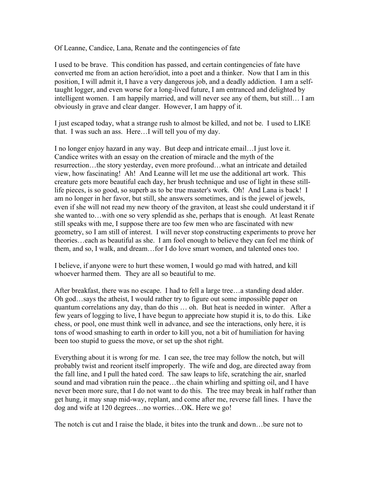Of Leanne, Candice, Lana, Renate and the contingencies of fate

I used to be brave. This condition has passed, and certain contingencies of fate have converted me from an action hero/idiot, into a poet and a thinker. Now that I am in this position, I will admit it, I have a very dangerous job, and a deadly addiction. I am a selftaught logger, and even worse for a long-lived future, I am entranced and delighted by intelligent women. I am happily married, and will never see any of them, but still… I am obviously in grave and clear danger. However, I am happy of it.

I just escaped today, what a strange rush to almost be killed, and not be. I used to LIKE that. I was such an ass. Here…I will tell you of my day.

I no longer enjoy hazard in any way. But deep and intricate email…I just love it. Candice writes with an essay on the creation of miracle and the myth of the resurrection…the story yesterday, even more profound…what an intricate and detailed view, how fascinating! Ah! And Leanne will let me use the additional art work. This creature gets more beautiful each day, her brush technique and use of light in these stilllife pieces, is so good, so superb as to be true master's work. Oh! And Lana is back! I am no longer in her favor, but still, she answers sometimes, and is the jewel of jewels, even if she will not read my new theory of the graviton, at least she could understand it if she wanted to…with one so very splendid as she, perhaps that is enough. At least Renate still speaks with me, I suppose there are too few men who are fascinated with new geometry, so I am still of interest. I will never stop constructing experiments to prove her theories…each as beautiful as she. I am fool enough to believe they can feel me think of them, and so, I walk, and dream…for I do love smart women, and talented ones too.

I believe, if anyone were to hurt these women, I would go mad with hatred, and kill whoever harmed them. They are all so beautiful to me.

After breakfast, there was no escape. I had to fell a large tree…a standing dead alder. Oh god…says the atheist, I would rather try to figure out some impossible paper on quantum correlations any day, than do this … oh. But heat is needed in winter. After a few years of logging to live, I have begun to appreciate how stupid it is, to do this. Like chess, or pool, one must think well in advance, and see the interactions, only here, it is tons of wood smashing to earth in order to kill you, not a bit of humiliation for having been too stupid to guess the move, or set up the shot right.

Everything about it is wrong for me. I can see, the tree may follow the notch, but will probably twist and reorient itself improperly. The wife and dog, are directed away from the fall line, and I pull the hated cord. The saw leaps to life, scratching the air, snarled sound and mad vibration ruin the peace…the chain whirling and spitting oil, and I have never been more sure, that I do not want to do this. The tree may break in half rather than get hung, it may snap mid-way, replant, and come after me, reverse fall lines. I have the dog and wife at 120 degrees…no worries…OK. Here we go!

The notch is cut and I raise the blade, it bites into the trunk and down…be sure not to